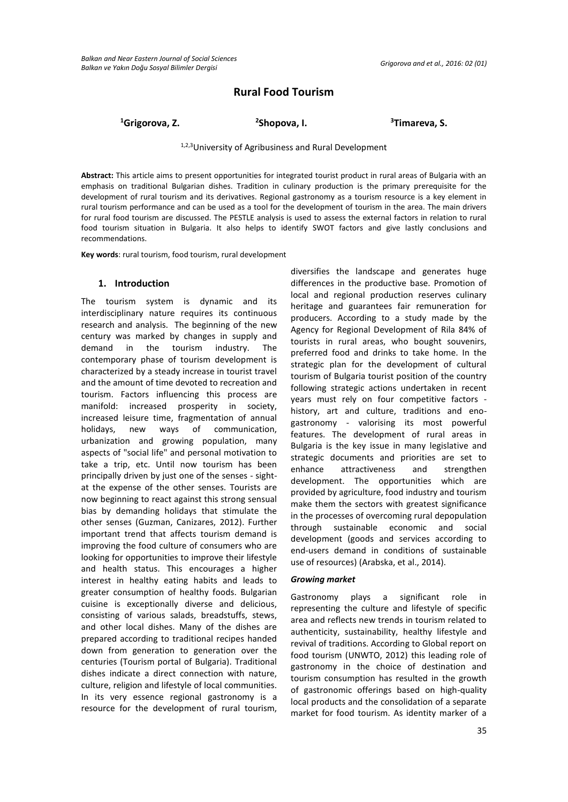# **Rural Food Tourism**

<sup>1</sup>Grigorova, Z. 25hopova, I.

**Shopova, I. <sup>3</sup>Timareva, S.**

### 1,2,3University of Agribusiness and Rural Development

**Abstract:** This article aims to present opportunities for integrated tourist product in rural areas of Bulgaria with an emphasis on traditional Bulgarian dishes. Tradition in culinary production is the primary prerequisite for the development of rural tourism and its derivatives. Regional gastronomy as a tourism resource is a key element in rural tourism performance and can be used as a tool for the development of tourism in the area. The main drivers for rural food tourism are discussed. The PESTLE analysis is used to assess the external factors in relation to rural food tourism situation in Bulgaria. It also helps to identify SWOT factors and give lastly conclusions and recommendations.

**Key words**: rural tourism, food tourism, rural development

#### **1. Introduction**

The tourism system is dynamic and its interdisciplinary nature requires its continuous research and analysis. The beginning of the new century was marked by changes in supply and demand in the tourism industry. The contemporary phase of tourism development is characterized by a steady increase in tourist travel and the amount of time devoted to recreation and tourism. Factors influencing this process are manifold: increased prosperity in society, increased leisure time, fragmentation of annual holidays, new ways of communication, urbanization and growing population, many aspects of "social life" and personal motivation to take a trip, etc. Until now tourism has been principally driven by just one of the senses - sightat the expense of the other senses. Tourists are now beginning to react against this strong sensual bias by demanding holidays that stimulate the other senses (Guzman, Canizares, 2012). Further important trend that affects tourism demand is improving the food culture of consumers who are looking for opportunities to improve their lifestyle and health status. This encourages a higher interest in healthy eating habits and leads to greater consumption of healthy foods. Bulgarian cuisine is exceptionally diverse and delicious, consisting of various salads, breadstuffs, stews, and other local dishes. Many of the dishes are prepared according to traditional recipes handed down from generation to generation over the centuries (Tourism portal of Bulgaria). Traditional dishes indicate a direct connection with nature, culture, religion and lifestyle of local communities. In its very essence regional gastronomy is a resource for the development of rural tourism,

diversifies the landscape and generates huge differences in the productive base. Promotion of local and regional production reserves culinary heritage and guarantees fair remuneration for producers. According to a study made by the Agency for Regional Development of Rila 84% of tourists in rural areas, who bought souvenirs, preferred food and drinks to take home. In the strategic plan for the development of cultural tourism of Bulgaria tourist position of the country following strategic actions undertaken in recent years must rely on four competitive factors history, art and culture, traditions and enogastronomy - valorising its most powerful features. The development of rural areas in Bulgaria is the key issue in many legislative and strategic documents and priorities are set to enhance attractiveness and strengthen development. The opportunities which are provided by agriculture, food industry and tourism make them the sectors with greatest significance in the processes of overcoming rural depopulation through sustainable economic and social development (goods and services according to end-users demand in conditions of sustainable use of resources) (Arabska, et al., 2014).

#### *Growing market*

Gastronomy plays a significant role in representing the culture and lifestyle of specific area and reflects new trends in tourism related to authenticity, sustainability, healthy lifestyle and revival of traditions. According to Global report on food tourism (UNWTO, 2012) this leading role of gastronomy in the choice of destination and tourism consumption has resulted in the growth of gastronomic offerings based on high-quality local products and the consolidation of a separate market for food tourism. As identity marker of a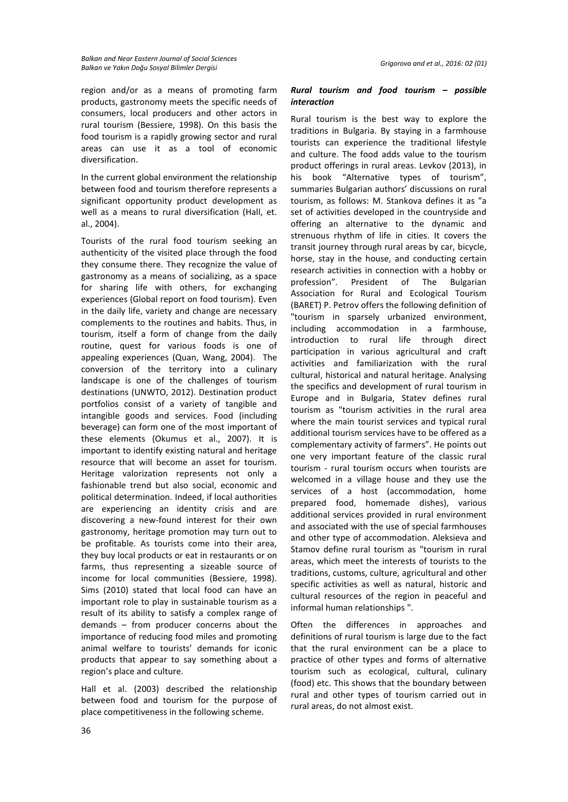region and/or as a means of promoting farm products, gastronomy meets the specific needs of consumers, local producers and other actors in rural tourism (Bessiere, 1998). On this basis the food tourism is a rapidly growing sector and rural areas can use it as a tool of economic diversification.

In the current global environment the relationship between food and tourism therefore represents a significant opportunity product development as well as a means to rural diversification (Hall, et. al., 2004).

Tourists of the rural food tourism seeking an authenticity of the visited place through the food they consume there. They recognize the value of gastronomy as a means of socializing, as a space for sharing life with others, for exchanging experiences (Global report on food tourism). Even in the daily life, variety and change are necessary complements to the routines and habits. Thus, in tourism, itself a form of change from the daily routine, quest for various foods is one of appealing experiences (Quan, Wang, 2004). The conversion of the territory into a culinary landscape is one of the challenges of tourism destinations (UNWTO, 2012). Destination product portfolios consist of a variety of tangible and intangible goods and services. Food (including beverage) can form one of the most important of these elements (Okumus et al., 2007). It is important to identify existing natural and heritage resource that will become an asset for tourism. Heritage valorization represents not only a fashionable trend but also social, economic and political determination. Indeed, if local authorities are experiencing an identity crisis and are discovering a new-found interest for their own gastronomy, heritage promotion may turn out to be profitable. As tourists come into their area, they buy local products or eat in restaurants or on farms, thus representing a sizeable source of income for local communities (Bessiere, 1998). Sims (2010) stated that local food can have an important role to play in sustainable tourism as a result of its ability to satisfy a complex range of demands – from producer concerns about the importance of reducing food miles and promoting animal welfare to tourists' demands for iconic products that appear to say something about a region's place and culture.

Hall et al. (2003) described the relationship between food and tourism for the purpose of place competitiveness in the following scheme.

### *Rural tourism and food tourism – possible interaction*

Rural tourism is the best way to explore the traditions in Bulgaria. By staying in a farmhouse tourists can experience the traditional lifestyle and culture. The food adds value to the tourism product offerings in rural areas. Levkov (2013), in his book "Alternative types of tourism", summaries Bulgarian authors' discussions on rural tourism, as follows: M. Stankova defines it as "a set of activities developed in the countryside and offering an alternative to the dynamic and strenuous rhythm of life in cities. It covers the transit journey through rural areas by car, bicycle, horse, stay in the house, and conducting certain research activities in connection with a hobby or profession". President of The Bulgarian Association for Rural and Ecological Tourism (BARET) P. Petrov offers the following definition of "tourism in sparsely urbanized environment, including accommodation in a farmhouse, introduction to rural life through direct participation in various agricultural and craft activities and familiarization with the rural cultural, historical and natural heritage. Analysing the specifics and development of rural tourism in Europe and in Bulgaria, Statev defines rural tourism as "tourism activities in the rural area where the main tourist services and typical rural additional tourism services have to be offered as a complementary activity of farmers". He points out one very important feature of the classic rural tourism - rural tourism occurs when tourists are welcomed in a village house and they use the services of a host (accommodation, home prepared food, homemade dishes), various additional services provided in rural environment and associated with the use of special farmhouses and other type of accommodation. Aleksieva and Stamov define rural tourism as "tourism in rural areas, which meet the interests of tourists to the traditions, customs, culture, agricultural and other specific activities as well as natural, historic and cultural resources of the region in peaceful and informal human relationships ".

Often the differences in approaches and definitions of rural tourism is large due to the fact that the rural environment can be a place to practice of other types and forms of alternative tourism such as ecological, cultural, culinary (food) etc. This shows that the boundary between rural and other types of tourism carried out in rural areas, do not almost exist.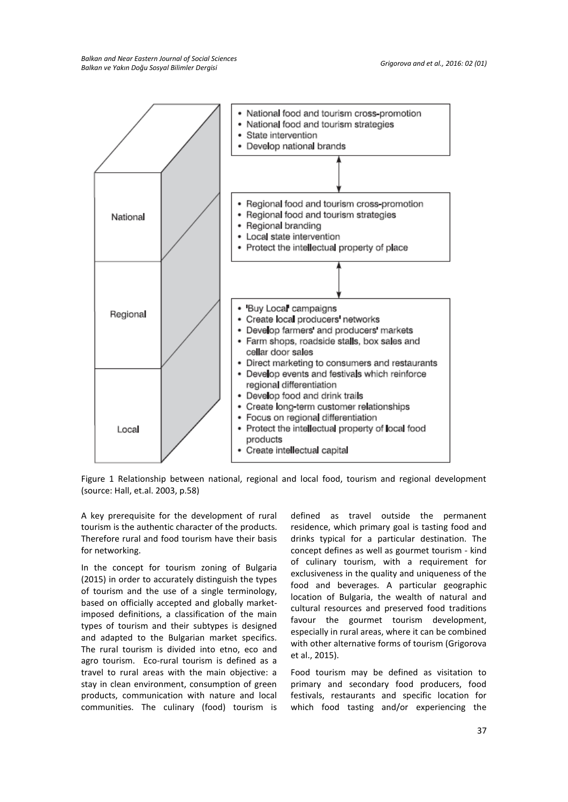

Figure 1 Relationship between national, regional and local food, tourism and regional development (source: Hall, et.al. 2003, p.58)

A key prerequisite for the development of rural tourism is the authentic character of the products. Therefore rural and food tourism have their basis for networking.

In the concept for tourism zoning of Bulgaria (2015) in order to accurately distinguish the types of tourism and the use of a single terminology, based on officially accepted and globally marketimposed definitions, a classification of the main types of tourism and their subtypes is designed and adapted to the Bulgarian market specifics. The rural tourism is divided into etno, eco and agro tourism. Eco-rural tourism is defined as a travel to rural areas with the main objective: a stay in clean environment, consumption of green products, communication with nature and local communities. The culinary (food) tourism is

defined as travel outside the permanent residence, which primary goal is tasting food and drinks typical for a particular destination. The concept defines as well as gourmet tourism - kind of culinary tourism, with a requirement for exclusiveness in the quality and uniqueness of the food and beverages. A particular geographic location of Bulgaria, the wealth of natural and cultural resources and preserved food traditions favour the gourmet tourism development, especially in rural areas, where it can be combined with other alternative forms of tourism (Grigorova et al., 2015).

Food tourism may be defined as visitation to primary and secondary food producers, food festivals, restaurants and specific location for which food tasting and/or experiencing the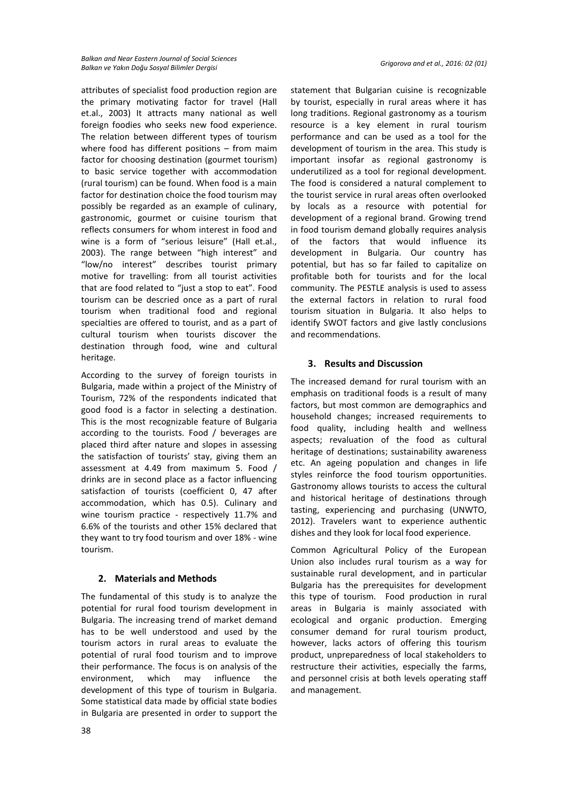attributes of specialist food production region are the primary motivating factor for travel (Hall et.al., 2003) It attracts many national as well foreign foodies who seeks new food experience. The relation between different types of tourism where food has different positions – from maim factor for choosing destination (gourmet tourism) to basic service together with accommodation (rural tourism) can be found. When food is a main factor for destination choice the food tourism may possibly be regarded as an example of culinary, gastronomic, gourmet or cuisine tourism that reflects consumers for whom interest in food and wine is a form of "serious leisure" (Hall et.al., 2003). The range between "high interest" and "low/no interest" describes tourist primary motive for travelling: from all tourist activities that are food related to "just a stop to eat". Food tourism can be descried once as a part of rural tourism when traditional food and regional specialties are offered to tourist, and as a part of cultural tourism when tourists discover the destination through food, wine and cultural heritage.

According to the survey of foreign tourists in Bulgaria, made within a project of the Ministry of Tourism, 72% of the respondents indicated that good food is a factor in selecting a destination. This is the most recognizable feature of Bulgaria according to the tourists. Food / beverages are placed third after nature and slopes in assessing the satisfaction of tourists' stay, giving them an assessment at 4.49 from maximum 5. Food / drinks are in second place as a factor influencing satisfaction of tourists (coefficient 0, 47 after accommodation, which has 0.5). Culinary and wine tourism practice - respectively 11.7% and 6.6% of the tourists and other 15% declared that they want to try food tourism and over 18% - wine tourism.

# **2. Materials and Methods**

The fundamental of this study is to analyze the potential for rural food tourism development in Bulgaria. The increasing trend of market demand has to be well understood and used by the tourism actors in rural areas to evaluate the potential of rural food tourism and to improve their performance. The focus is on analysis of the environment, which may influence the development of this type of tourism in Bulgaria. Some statistical data made by official state bodies in Bulgaria are presented in order to support the

statement that Bulgarian cuisine is recognizable by tourist, especially in rural areas where it has long traditions. Regional gastronomy as a tourism resource is a key element in rural tourism performance and can be used as a tool for the development of tourism in the area. This study is important insofar as regional gastronomy is underutilized as a tool for regional development. The food is considered a natural complement to the tourist service in rural areas often overlooked by locals as a resource with potential for development of a regional brand. Growing trend in food tourism demand globally requires analysis of the factors that would influence its development in Bulgaria. Our country has potential, but has so far failed to capitalize on profitable both for tourists and for the local community. The PESTLE analysis is used to assess the external factors in relation to rural food tourism situation in Bulgaria. It also helps to identify SWOT factors and give lastly conclusions and recommendations.

# **3. Results and Discussion**

The increased demand for rural tourism with an emphasis on traditional foods is a result of many factors, but most common are demographics and household changes; increased requirements to food quality, including health and wellness aspects; revaluation of the food as cultural heritage of destinations; sustainability awareness etc. An ageing population and changes in life styles reinforce the food tourism opportunities. Gastronomy allows tourists to access the cultural and historical heritage of destinations through tasting, experiencing and purchasing (UNWTO, 2012). Travelers want to experience authentic dishes and they look for local food experience.

Common Agricultural Policy of the European Union also includes rural tourism as a way for sustainable rural development, and in particular Bulgaria has the prerequisites for development this type of tourism. Food production in rural areas in Bulgaria is mainly associated with ecological and organic production. Emerging consumer demand for rural tourism product, however, lacks actors of offering this tourism product, unpreparedness of local stakeholders to restructure their activities, especially the farms, and personnel crisis at both levels operating staff and management.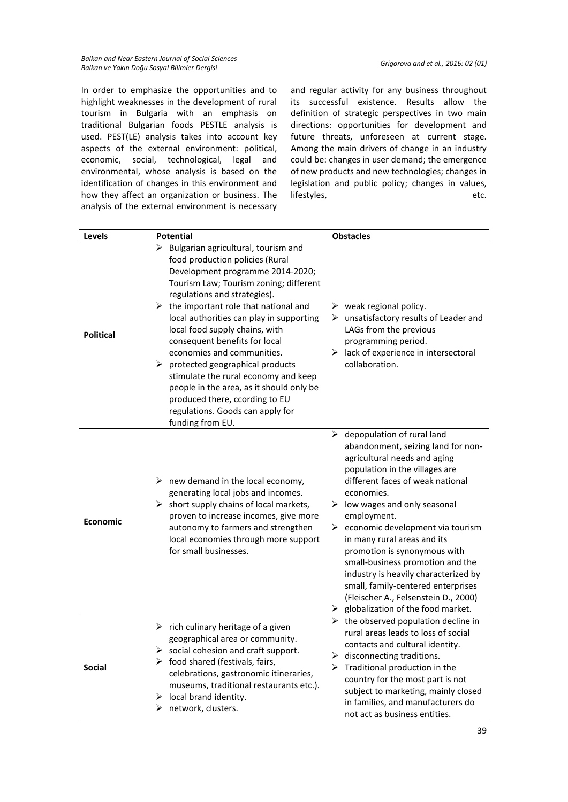*Balkan and Near Eastern Journal of Social Sciences Balkan ve Yakın Doğu Sosyal Bilimler Dergisi Grigorova and et al., 2016: 02 (01)*

In order to emphasize the opportunities and to highlight weaknesses in the development of rural tourism in Bulgaria with an emphasis on traditional Bulgarian foods PESTLE analysis is used. PEST(LE) analysis takes into account key aspects of the external environment: political, economic, social, technological, legal and environmental, whose analysis is based on the identification of changes in this environment and how they affect an organization or business. The analysis of the external environment is necessary

and regular activity for any business throughout its successful existence. Results allow the definition of strategic perspectives in two main directions: opportunities for development and future threats, unforeseen at current stage. Among the main drivers of change in an industry could be: changes in user demand; the emergence of new products and new technologies; changes in legislation and public policy; changes in values, lifestyles, etc.

| <b>Levels</b>    | <b>Potential</b>                                                                                                                                                                                                                                                                                                                                                                                                                                                                                                                                                                                                             | <b>Obstacles</b>                                                                                                                                                                                                                                                                                                                                                                                                                                                                                                                                                                                         |
|------------------|------------------------------------------------------------------------------------------------------------------------------------------------------------------------------------------------------------------------------------------------------------------------------------------------------------------------------------------------------------------------------------------------------------------------------------------------------------------------------------------------------------------------------------------------------------------------------------------------------------------------------|----------------------------------------------------------------------------------------------------------------------------------------------------------------------------------------------------------------------------------------------------------------------------------------------------------------------------------------------------------------------------------------------------------------------------------------------------------------------------------------------------------------------------------------------------------------------------------------------------------|
| <b>Political</b> | Bulgarian agricultural, tourism and<br>food production policies (Rural<br>Development programme 2014-2020;<br>Tourism Law; Tourism zoning; different<br>regulations and strategies).<br>$\triangleright$ the important role that national and<br>local authorities can play in supporting<br>local food supply chains, with<br>consequent benefits for local<br>economies and communities.<br>$\triangleright$ protected geographical products<br>stimulate the rural economy and keep<br>people in the area, as it should only be<br>produced there, ccording to EU<br>regulations. Goods can apply for<br>funding from EU. | $\triangleright$ weak regional policy.<br>$\triangleright$ unsatisfactory results of Leader and<br>LAGs from the previous<br>programming period.<br>$\triangleright$ lack of experience in intersectoral<br>collaboration.                                                                                                                                                                                                                                                                                                                                                                               |
| <b>Economic</b>  | $\triangleright$ new demand in the local economy,<br>generating local jobs and incomes.<br>$\triangleright$ short supply chains of local markets,<br>proven to increase incomes, give more<br>autonomy to farmers and strengthen<br>local economies through more support<br>for small businesses.                                                                                                                                                                                                                                                                                                                            | $\triangleright$ depopulation of rural land<br>abandonment, seizing land for non-<br>agricultural needs and aging<br>population in the villages are<br>different faces of weak national<br>economies.<br>$\triangleright$ low wages and only seasonal<br>employment.<br>$\triangleright$ economic development via tourism<br>in many rural areas and its<br>promotion is synonymous with<br>small-business promotion and the<br>industry is heavily characterized by<br>small, family-centered enterprises<br>(Fleischer A., Felsenstein D., 2000)<br>$\triangleright$ globalization of the food market. |
| <b>Social</b>    | $\triangleright$ rich culinary heritage of a given<br>geographical area or community.<br>$\triangleright$ social cohesion and craft support.<br>$\triangleright$ food shared (festivals, fairs,<br>celebrations, gastronomic itineraries,<br>museums, traditional restaurants etc.).<br>$\triangleright$ local brand identity.<br>$\triangleright$ network, clusters.                                                                                                                                                                                                                                                        | $\triangleright$ the observed population decline in<br>rural areas leads to loss of social<br>contacts and cultural identity.<br>$\triangleright$ disconnecting traditions.<br>$\triangleright$ Traditional production in the<br>country for the most part is not<br>subject to marketing, mainly closed<br>in families, and manufacturers do<br>not act as business entities.                                                                                                                                                                                                                           |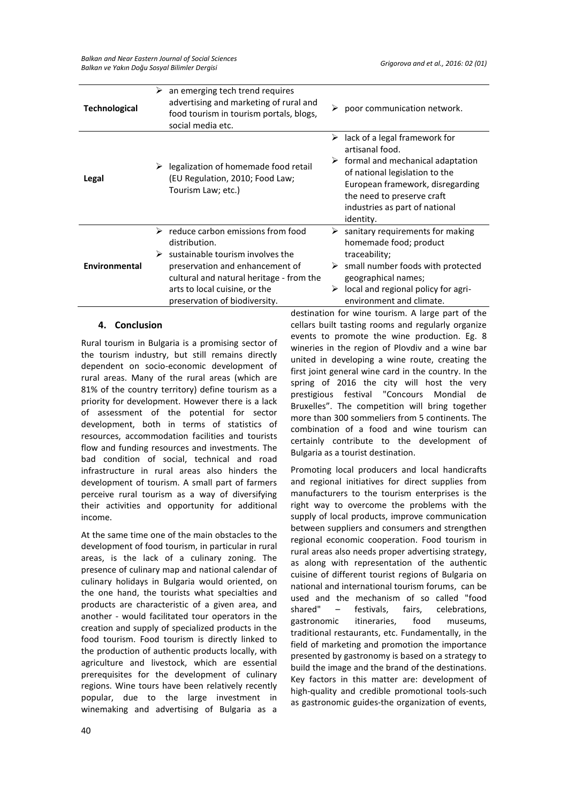*Balkan and Near Eastern Journal of Social Sciences Balkan ve Yakın Doğu Sosyal Bilimler Dergisi Grigorova and et al., 2016: 02 (01)*

| <b>Technological</b> | an emerging tech trend requires<br>➤<br>advertising and marketing of rural and<br>food tourism in tourism portals, blogs,<br>social media etc.                                                                                                           | poor communication network.                                                                                                                                                                                                                       |
|----------------------|----------------------------------------------------------------------------------------------------------------------------------------------------------------------------------------------------------------------------------------------------------|---------------------------------------------------------------------------------------------------------------------------------------------------------------------------------------------------------------------------------------------------|
| Legal                | legalization of homemade food retail<br>(EU Regulation, 2010; Food Law;<br>Tourism Law; etc.)                                                                                                                                                            | lack of a legal framework for<br>➤<br>artisanal food.<br>formal and mechanical adaptation<br>➤<br>of national legislation to the<br>European framework, disregarding<br>the need to preserve craft<br>industries as part of national<br>identity. |
| <b>Environmental</b> | $\triangleright$ reduce carbon emissions from food<br>distribution.<br>sustainable tourism involves the<br>preservation and enhancement of<br>cultural and natural heritage - from the<br>arts to local cuisine, or the<br>preservation of biodiversity. | sanitary requirements for making<br>➤<br>homemade food; product<br>traceability;<br>$\triangleright$ small number foods with protected<br>geographical names;<br>local and regional policy for agri-<br>➤<br>environment and climate.             |

## **4. Conclusion**

Rural tourism in Bulgaria is a promising sector of the tourism industry, but still remains directly dependent on socio-economic development of rural areas. Many of the rural areas (which are 81% of the country territory) define tourism as a priority for development. However there is a lack of assessment of the potential for sector development, both in terms of statistics of resources, accommodation facilities and tourists flow and funding resources and investments. The bad condition of social, technical and road infrastructure in rural areas also hinders the development of tourism. A small part of farmers perceive rural tourism as a way of diversifying their activities and opportunity for additional income.

At the same time one of the main obstacles to the development of food tourism, in particular in rural areas, is the lack of a culinary zoning. The presence of culinary map and national calendar of culinary holidays in Bulgaria would oriented, on the one hand, the tourists what specialties and products are characteristic of a given area, and another - would facilitated tour operators in the creation and supply of specialized products in the food tourism. Food tourism is directly linked to the production of authentic products locally, with agriculture and livestock, which are essential prerequisites for the development of culinary regions. Wine tours have been relatively recently popular, due to the large investment in winemaking and advertising of Bulgaria as a

destination for wine tourism. A large part of the cellars built tasting rooms and regularly organize events to promote the wine production. Eg. 8 wineries in the region of Plovdiv and a wine bar united in developing a wine route, creating the first joint general wine card in the country. In the spring of 2016 the city will host the very prestigious festival "Concours Mondial de Bruxelles". The competition will bring together more than 300 sommeliers from 5 continents. The combination of a food and wine tourism can certainly contribute to the development of Bulgaria as a tourist destination.

Promoting local producers and local handicrafts and regional initiatives for direct supplies from manufacturers to the tourism enterprises is the right way to overcome the problems with the supply of local products, improve communication between suppliers and consumers and strengthen regional economic cooperation. Food tourism in rural areas also needs proper advertising strategy, as along with representation of the authentic cuisine of different tourist regions of Bulgaria on national and international tourism forums, can be used and the mechanism of so called "food shared" – festivals, fairs, celebrations, gastronomic itineraries, food museums, traditional restaurants, etc. Fundamentally, in the field of marketing and promotion the importance presented by gastronomy is based on a strategy to build the image and the brand of the destinations. Key factors in this matter are: development of high-quality and credible promotional tools-such as gastronomic guides-the organization of events,